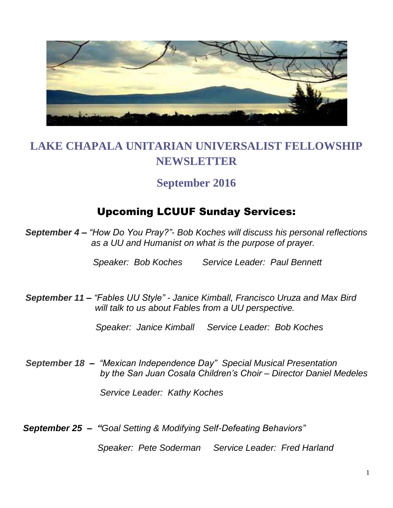

# **LAKE CHAPALA UNITARIAN UNIVERSALIST FELLOWSHIP NEWSLETTER**

## **September 2016**

# Upcoming LCUUF Sunday Services:

*September 4 – "How Do You Pray?"- Bob Koches will discuss his personal reflections as a UU and Humanist on what is the purpose of prayer.* 

*Speaker: Bob Koches Service Leader: Paul Bennett*

*September 11 – "Fables UU Style" - Janice Kimball, Francisco Uruza and Max Bird will talk to us about Fables from a UU perspective.* 

*Speaker: Janice Kimball Service Leader: Bob Koches*

*September 18**– "Mexican Independence Day" Special Musical Presentation by the San Juan Cosala Children's Choir – Director Daniel Medeles*

 *Service Leader: Kathy Koches*

*September 25 – "Goal Setting & Modifying Self-Defeating Behaviors"* 

 *Speaker: Pete Soderman Service Leader: Fred Harland*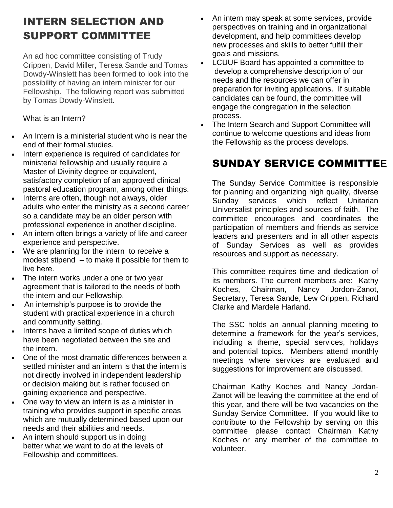# INTERN SELECTION AND SUPPORT COMMITTEE

An ad hoc committee consisting of Trudy Crippen, David Miller, Teresa Sande and Tomas Dowdy-Winslett has been formed to look into the possibility of having an intern minister for our Fellowship. The following report was submitted by Tomas Dowdy-Winslett.

What is an Intern?

- An Intern is a ministerial student who is near the end of their formal studies.
- Intern experience is required of candidates for ministerial fellowship and usually require a Master of Divinity degree or equivalent, satisfactory completion of an approved clinical pastoral education program, among other things.
- Interns are often, though not always, older adults who enter the ministry as a second career so a candidate may be an older person with professional experience in another discipline.
- An intern often brings a variety of life and career experience and perspective.
- We are planning for the intern to receive a modest stipend – to make it possible for them to live here.
- The intern works under a one or two year agreement that is tailored to the needs of both the intern and our Fellowship.
- An internship's purpose is to provide the student with practical experience in a church and community setting.
- Interns have a limited scope of duties which have been negotiated between the site and the intern.
- One of the most dramatic differences between a settled minister and an intern is that the intern is not directly involved in independent leadership or decision making but is rather focused on gaining experience and perspective.
- One way to view an intern is as a minister in training who provides support in specific areas which are mutually determined based upon our needs and their abilities and needs.
- An intern should support us in doing better what we want to do at the levels of Fellowship and committees.
- An intern may speak at some services, provide perspectives on training and in organizational development, and help committees develop new processes and skills to better fulfill their goals and missions.
- LCUUF Board has appointed a committee to develop a comprehensive description of our needs and the resources we can offer in preparation for inviting applications. If suitable candidates can be found, the committee will engage the congregation in the selection process.
- The Intern Search and Support Committee will continue to welcome questions and ideas from the Fellowship as the process develops.

# SUNDAY SERVICE COMMITTE**E**

The Sunday Service Committee is responsible for planning and organizing high quality, diverse Sunday services which reflect Unitarian Universalist principles and sources of faith. The committee encourages and coordinates the participation of members and friends as service leaders and presenters and in all other aspects of Sunday Services as well as provides resources and support as necessary.

This committee requires time and dedication of its members. The current members are: Kathy Koches, Chairman, Nancy Jordon-Zanot, Secretary, Teresa Sande, Lew Crippen, Richard Clarke and Mardele Harland.

The SSC holds an annual planning meeting to determine a framework for the year's services, including a theme, special services, holidays and potential topics. Members attend monthly meetings where services are evaluated and suggestions for improvement are discussed.

Chairman Kathy Koches and Nancy Jordan-Zanot will be leaving the committee at the end of this year, and there will be two vacancies on the Sunday Service Committee. If you would like to contribute to the Fellowship by serving on this committee please contact Chairman Kathy Koches or any member of the committee to volunteer.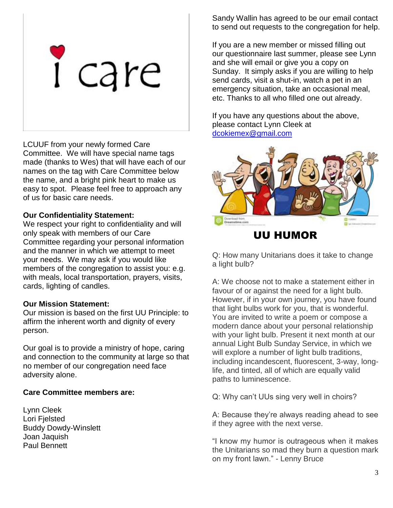

LCUUF from your newly formed Care Committee. We will have special name tags made (thanks to Wes) that will have each of our names on the tag with Care Committee below the name, and a bright pink heart to make us easy to spot. Please feel free to approach any of us for basic care needs.

#### **Our Confidentiality Statement:**

We respect your right to confidentiality and will only speak with members of our Care Committee regarding your personal information and the manner in which we attempt to meet your needs. We may ask if you would like members of the congregation to assist you: e.g. with meals, local transportation, prayers, visits, cards, lighting of candles.

#### **Our Mission Statement:**

Our mission is based on the first UU Principle: to affirm the inherent worth and dignity of every person.

Our goal is to provide a ministry of hope, caring and connection to the community at large so that no member of our congregation need face adversity alone.

#### **Care Committee members are:**

Lynn Cleek Lori Fjelsted Buddy Dowdy-Winslett Joan Jaquish Paul Bennett

Sandy Wallin has agreed to be our email contact to send out requests to the congregation for help.

If you are a new member or missed filling out our questionnaire last summer, please see Lynn and she will email or give you a copy on Sunday. It simply asks if you are willing to help send cards, visit a shut-in, watch a pet in an emergency situation, take an occasional meal, etc. Thanks to all who filled one out already.

If you have any questions about the above, please contact Lynn Cleek at [dcokiemex@gmail.com](mailto:dcokiemex@gmail.com)



### UU HUMOR

Q: How many Unitarians does it take to change a light bulb?

A: We choose not to make a statement either in favour of or against the need for a light bulb. However, if in your own journey, you have found that light bulbs work for you, that is wonderful. You are invited to write a poem or compose a modern dance about your personal relationship with your light bulb. Present it next month at our annual Light Bulb Sunday Service, in which we will explore a number of light bulb traditions, including incandescent, fluorescent, 3-way, longlife, and tinted, all of which are equally valid paths to luminescence.

Q: Why can't UUs sing very well in choirs?

A: Because they're always reading ahead to see if they agree with the next verse.

"I know my humor is outrageous when it makes the Unitarians so mad they burn a question mark on my front lawn." - Lenny Bruce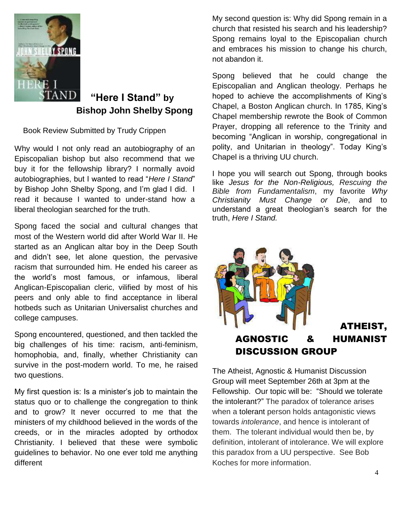

## **"Here I Stand" by Bishop John Shelby Spong**

Book Review Submitted by Trudy Crippen

Why would I not only read an autobiography of an Episcopalian bishop but also recommend that we buy it for the fellowship library? I normally avoid autobiographies, but I wanted to read "*Here I Stand*" by Bishop John Shelby Spong, and I'm glad I did. I read it because I wanted to under-stand how a liberal theologian searched for the truth.

Spong faced the social and cultural changes that most of the Western world did after World War II. He started as an Anglican altar boy in the Deep South and didn't see, let alone question, the pervasive racism that surrounded him. He ended his career as the world's most famous, or infamous, liberal Anglican-Episcopalian cleric, vilified by most of his peers and only able to find acceptance in liberal hotbeds such as Unitarian Universalist churches and college campuses.

Spong encountered, questioned, and then tackled the big challenges of his time: racism, anti-feminism, homophobia, and, finally, whether Christianity can survive in the post-modern world. To me, he raised two questions.

My first question is: Is a minister's job to maintain the status quo or to challenge the congregation to think and to grow? It never occurred to me that the ministers of my childhood believed in the words of the creeds, or in the miracles adopted by orthodox Christianity. I believed that these were symbolic guidelines to behavior. No one ever told me anything different

My second question is: Why did Spong remain in a church that resisted his search and his leadership? Spong remains loyal to the Episcopalian church and embraces his mission to change his church, not abandon it.

Spong believed that he could change the Episcopalian and Anglican theology. Perhaps he hoped to achieve the accomplishments of King's Chapel, a Boston Anglican church. In 1785, King's Chapel membership rewrote the Book of Common Prayer, dropping all reference to the Trinity and becoming "Anglican in worship, congregational in polity, and Unitarian in theology". Today King's Chapel is a thriving UU church.

I hope you will search out Spong, through books like *[Jesus for the Non-Religious, Rescuing the](https://www.amazon.com/Jesus-Non-Religious-John-Shelby-Spong-ebook/dp/B000OI0EQS/ref=sr_1_5?s=books&ie=UTF8&qid=1471539244&sr=1-5)  [Bible from Fundamentalism](https://www.amazon.com/Jesus-Non-Religious-John-Shelby-Spong-ebook/dp/B000OI0EQS/ref=sr_1_5?s=books&ie=UTF8&qid=1471539244&sr=1-5)*, my favorite *Why [Christianity Must Change or Die](https://www.amazon.com/Jesus-Non-Religious-John-Shelby-Spong-ebook/dp/B000OI0EQS/ref=sr_1_5?s=books&ie=UTF8&qid=1471539244&sr=1-5)*, and to [understand a great theologian's search for the](https://www.amazon.com/Jesus-Non-Religious-John-Shelby-Spong-ebook/dp/B000OI0EQS/ref=sr_1_5?s=books&ie=UTF8&qid=1471539244&sr=1-5)  truth, *[Here I Stand.](https://www.amazon.com/Jesus-Non-Religious-John-Shelby-Spong-ebook/dp/B000OI0EQS/ref=sr_1_5?s=books&ie=UTF8&qid=1471539244&sr=1-5)*



The Atheist, Agnostic & Humanist Discussion Group will meet September 26th at 3pm at the Fellowship. Our topic will be: "Should we tolerate the intolerant?" The paradox of tolerance arises when a [tolerant](https://en.wikipedia.org/wiki/Tolerant) person holds antagonistic views towards *intolerance*, and hence is intolerant of them. The tolerant individual would then be, by definition, intolerant of intolerance. We will explore this paradox from a UU perspective. See Bob Koches for more information.

ATHEIST,